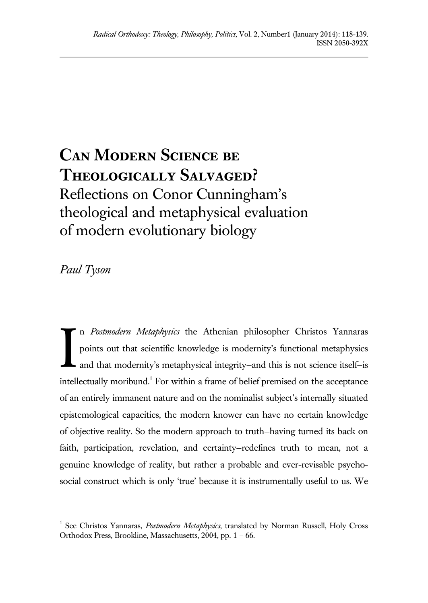## **Can Modern Science be Theologically Salvaged?** Reflections on Conor Cunningham's theological and metaphysical evaluation of modern evolutionary biology

*Paul Tyson*

l

n *Postmodern Metaphysics* the Athenian philosopher Christos Yannaras points out that scientific knowledge is modernity's functional metaphysics and that modernity's metaphysical integrity—and this is not science itself—is intellectually moribund.<sup>1</sup> For within a frame of belief premised on the acceptance of an entirely immanent nature and on the nominalist subject's internally situated epistemological capacities, the modern knower can have no certain knowledge of objective reality. So the modern approach to truth—having turned its back on faith, participation, revelation, and certainty—redefines truth to mean, not a genuine knowledge of reality, but rather a probable and ever-revisable psychosocial construct which is only 'true' because it is instrumentally useful to us. We I

<sup>&</sup>lt;sup>1</sup> See Christos Yannaras, *Postmodern Metaphysics*, translated by Norman Russell, Holy Cross Orthodox Press, Brookline, Massachusetts, 2004, pp. 1 – 66.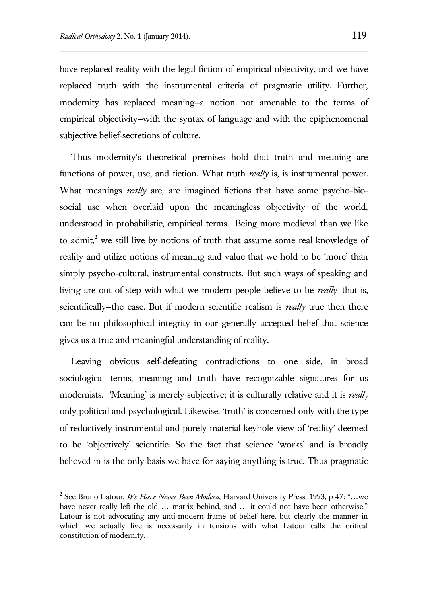have replaced reality with the legal fiction of empirical objectivity, and we have replaced truth with the instrumental criteria of pragmatic utility. Further, modernity has replaced meaning—a notion not amenable to the terms of empirical objectivity—with the syntax of language and with the epiphenomenal subjective belief-secretions of culture.

Thus modernity's theoretical premises hold that truth and meaning are functions of power, use, and fiction. What truth *really* is, is instrumental power. What meanings *really* are, are imagined fictions that have some psycho-biosocial use when overlaid upon the meaningless objectivity of the world, understood in probabilistic, empirical terms. Being more medieval than we like to admit, $2$  we still live by notions of truth that assume some real knowledge of reality and utilize notions of meaning and value that we hold to be 'more' than simply psycho-cultural, instrumental constructs. But such ways of speaking and living are out of step with what we modern people believe to be *really*—that is, scientifically—the case. But if modern scientific realism is *really* true then there can be no philosophical integrity in our generally accepted belief that science gives us a true and meaningful understanding of reality.

Leaving obvious self-defeating contradictions to one side, in broad sociological terms, meaning and truth have recognizable signatures for us modernists. 'Meaning' is merely subjective; it is culturally relative and it is *really* only political and psychological. Likewise, 'truth' is concerned only with the type of reductively instrumental and purely material keyhole view of 'reality' deemed to be 'objectively' scientific. So the fact that science 'works' and is broadly believed in is the only basis we have for saying anything is true. Thus pragmatic

<sup>2</sup> See Bruno Latour, *We Have Never Been Modern*, Harvard University Press, 1993, p 47: "…we have never really left the old ... matrix behind, and ... it could not have been otherwise." Latour is not advocating any anti-modern frame of belief here, but clearly the manner in which we actually live is necessarily in tensions with what Latour calls the critical constitution of modernity.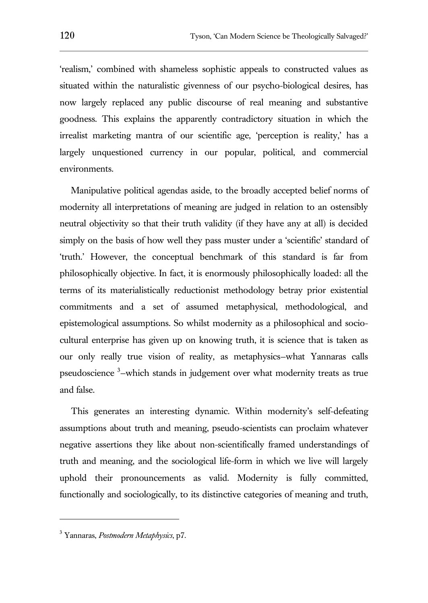'realism,' combined with shameless sophistic appeals to constructed values as situated within the naturalistic givenness of our psycho-biological desires, has now largely replaced any public discourse of real meaning and substantive goodness. This explains the apparently contradictory situation in which the irrealist marketing mantra of our scientific age, 'perception is reality,' has a largely unquestioned currency in our popular, political, and commercial environments.

Manipulative political agendas aside, to the broadly accepted belief norms of modernity all interpretations of meaning are judged in relation to an ostensibly neutral objectivity so that their truth validity (if they have any at all) is decided simply on the basis of how well they pass muster under a 'scientific' standard of 'truth.' However, the conceptual benchmark of this standard is far from philosophically objective. In fact, it is enormously philosophically loaded: all the terms of its materialistically reductionist methodology betray prior existential commitments and a set of assumed metaphysical, methodological, and epistemological assumptions. So whilst modernity as a philosophical and sociocultural enterprise has given up on knowing truth, it is science that is taken as our only really true vision of reality, as metaphysics—what Yannaras calls pseudoscience <sup>3</sup>-which stands in judgement over what modernity treats as true and false.

This generates an interesting dynamic. Within modernity's self-defeating assumptions about truth and meaning, pseudo-scientists can proclaim whatever negative assertions they like about non-scientifically framed understandings of truth and meaning, and the sociological life-form in which we live will largely uphold their pronouncements as valid. Modernity is fully committed, functionally and sociologically, to its distinctive categories of meaning and truth,

<sup>3</sup> Yannaras, *Postmodern Metaphysics*, p7.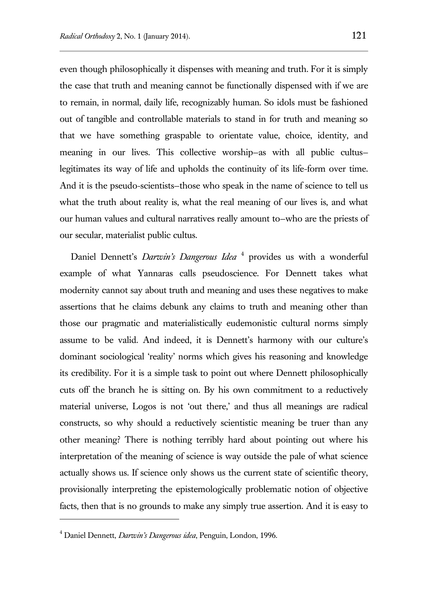even though philosophically it dispenses with meaning and truth. For it is simply the case that truth and meaning cannot be functionally dispensed with if we are to remain, in normal, daily life, recognizably human. So idols must be fashioned out of tangible and controllable materials to stand in for truth and meaning so that we have something graspable to orientate value, choice, identity, and meaning in our lives. This collective worship—as with all public cultus legitimates its way of life and upholds the continuity of its life-form over time. And it is the pseudo-scientists—those who speak in the name of science to tell us what the truth about reality is, what the real meaning of our lives is, and what our human values and cultural narratives really amount to—who are the priests of our secular, materialist public cultus.

Daniel Dennett's *Darwin's Dangerous Idea* <sup>4</sup> provides us with a wonderful example of what Yannaras calls pseudoscience. For Dennett takes what modernity cannot say about truth and meaning and uses these negatives to make assertions that he claims debunk any claims to truth and meaning other than those our pragmatic and materialistically eudemonistic cultural norms simply assume to be valid. And indeed, it is Dennett's harmony with our culture's dominant sociological 'reality' norms which gives his reasoning and knowledge its credibility. For it is a simple task to point out where Dennett philosophically cuts off the branch he is sitting on. By his own commitment to a reductively material universe, Logos is not 'out there,' and thus all meanings are radical constructs, so why should a reductively scientistic meaning be truer than any other meaning? There is nothing terribly hard about pointing out where his interpretation of the meaning of science is way outside the pale of what science actually shows us. If science only shows us the current state of scientific theory, provisionally interpreting the epistemologically problematic notion of objective facts, then that is no grounds to make any simply true assertion. And it is easy to

<sup>4</sup> Daniel Dennett, *Darwin's Dangerous idea*, Penguin, London, 1996.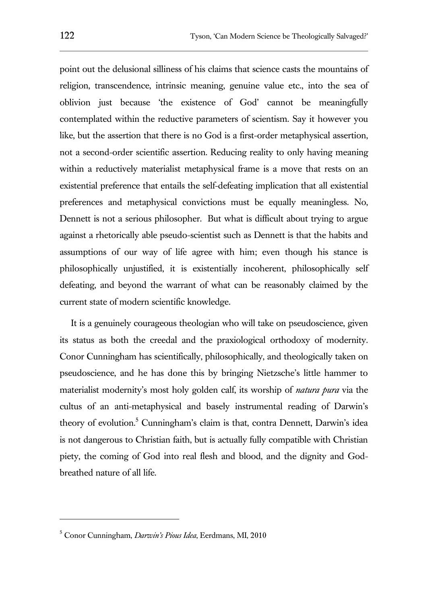point out the delusional silliness of his claims that science casts the mountains of religion, transcendence, intrinsic meaning, genuine value etc., into the sea of oblivion just because 'the existence of God' cannot be meaningfully contemplated within the reductive parameters of scientism. Say it however you like, but the assertion that there is no God is a first-order metaphysical assertion, not a second-order scientific assertion. Reducing reality to only having meaning within a reductively materialist metaphysical frame is a move that rests on an existential preference that entails the self-defeating implication that all existential preferences and metaphysical convictions must be equally meaningless. No, Dennett is not a serious philosopher. But what is difficult about trying to argue against a rhetorically able pseudo-scientist such as Dennett is that the habits and assumptions of our way of life agree with him; even though his stance is philosophically unjustified, it is existentially incoherent, philosophically self defeating, and beyond the warrant of what can be reasonably claimed by the current state of modern scientific knowledge.

It is a genuinely courageous theologian who will take on pseudoscience, given its status as both the creedal and the praxiological orthodoxy of modernity. Conor Cunningham has scientifically, philosophically, and theologically taken on pseudoscience, and he has done this by bringing Nietzsche's little hammer to materialist modernity's most holy golden calf, its worship of *natura pura* via the cultus of an anti-metaphysical and basely instrumental reading of Darwin's theory of evolution.<sup>5</sup> Cunningham's claim is that, contra Dennett, Darwin's idea is not dangerous to Christian faith, but is actually fully compatible with Christian piety, the coming of God into real flesh and blood, and the dignity and Godbreathed nature of all life.

<sup>5</sup> Conor Cunningham, *Darwin's Pious Idea*, Eerdmans, MI, 2010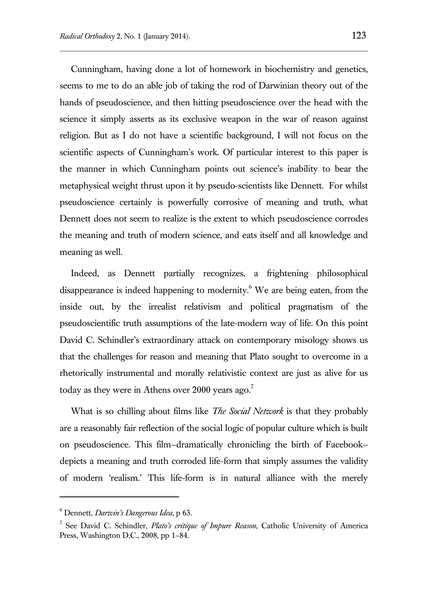Cunningham, having done a lot of homework in biochemistry and genetics, seems to me to do an able job of taking the rod of Darwinian theory out of the hands of pseudoscience, and then hitting pseudoscience over the head with the science it simply asserts as its exclusive weapon in the war of reason against religion. But as I do not have a scientific background, I will not focus on the scientific aspects of Cunningham's work. Of particular interest to this paper is the manner in which Cunningham points out science's inability to bear the metaphysical weight thrust upon it by pseudo-scientists like Dennett. For whilst pseudoscience certainly is powerfully corrosive of meaning and truth, what Dennett does not seem to realize is the extent to which pseudoscience corrodes the meaning and truth of modern science, and eats itself and all knowledge and meaning as well.

Indeed, as Dennett partially recognizes, a frightening philosophical disappearance is indeed happening to modernity.<sup>6</sup> We are being eaten, from the inside out, by the irrealist relativism and political pragmatism of the pseudoscientific truth assumptions of the late-modern way of life. On this point David C. Schindler's extraordinary attack on contemporary misology shows us that the challenges for reason and meaning that Plato sought to overcome in a rhetorically instrumental and morally relativistic context are just as alive for us today as they were in Athens over 2000 years ago.<sup>7</sup>

What is so chilling about films like *The Social Network* is that they probably are a reasonably fair reflection of the social logic of popular culture which is built on pseudoscience. This film—dramatically chronicling the birth of Facebook depicts a meaning and truth corroded life-form that simply assumes the validity of modern 'realism.' This life-form is in natural alliance with the merely

<sup>6</sup> Dennett, *Darwin's Dangerous Idea*, p 63.

<sup>7</sup> See David C. Schindler, *Plato's critique of Impure Reason*, Catholic University of America Press, Washington D.C., 2008, pp 1–84.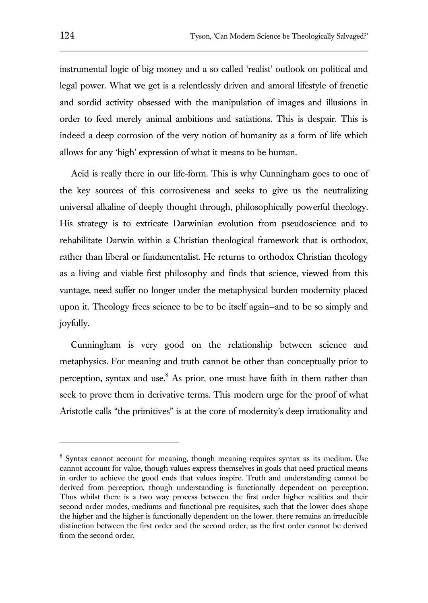instrumental logic of big money and a so called 'realist' outlook on political and legal power. What we get is a relentlessly driven and amoral lifestyle of frenetic and sordid activity obsessed with the manipulation of images and illusions in order to feed merely animal ambitions and satiations. This is despair. This is indeed a deep corrosion of the very notion of humanity as a form of life which allows for any 'high' expression of what it means to be human.

Acid is really there in our life-form. This is why Cunningham goes to one of the key sources of this corrosiveness and seeks to give us the neutralizing universal alkaline of deeply thought through, philosophically powerful theology. His strategy is to extricate Darwinian evolution from pseudoscience and to rehabilitate Darwin within a Christian theological framework that is orthodox, rather than liberal or fundamentalist. He returns to orthodox Christian theology as a living and viable first philosophy and finds that science, viewed from this vantage, need suffer no longer under the metaphysical burden modernity placed upon it. Theology frees science to be to be itself again—and to be so simply and joyfully.

Cunningham is very good on the relationship between science and metaphysics. For meaning and truth cannot be other than conceptually prior to perception, syntax and use. $8$  As prior, one must have faith in them rather than seek to prove them in derivative terms. This modern urge for the proof of what Aristotle calls "the primitives" is at the core of modernity's deep irrationality and

<sup>&</sup>lt;sup>8</sup> Syntax cannot account for meaning, though meaning requires syntax as its medium. Use cannot account for value, though values express themselves in goals that need practical means in order to achieve the good ends that values inspire. Truth and understanding cannot be derived from perception, though understanding is functionally dependent on perception. Thus whilst there is a two way process between the first order higher realities and their second order modes, mediums and functional pre-requisites, such that the lower does shape the higher and the higher is functionally dependent on the lower, there remains an irreducible distinction between the first order and the second order, as the first order cannot be derived from the second order.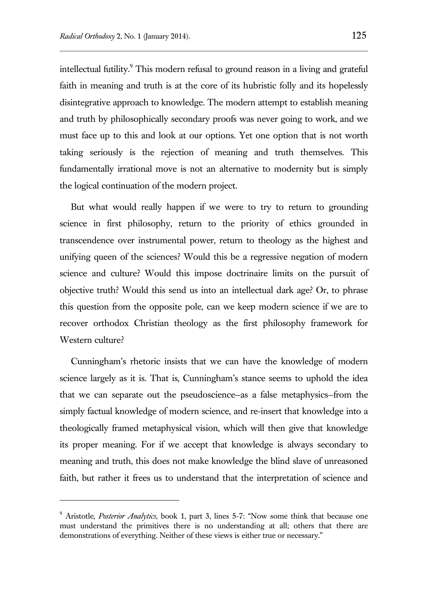l

intellectual futility.<sup>9</sup> This modern refusal to ground reason in a living and grateful faith in meaning and truth is at the core of its hubristic folly and its hopelessly disintegrative approach to knowledge. The modern attempt to establish meaning and truth by philosophically secondary proofs was never going to work, and we must face up to this and look at our options. Yet one option that is not worth taking seriously is the rejection of meaning and truth themselves. This fundamentally irrational move is not an alternative to modernity but is simply the logical continuation of the modern project.

But what would really happen if we were to try to return to grounding science in first philosophy, return to the priority of ethics grounded in transcendence over instrumental power, return to theology as the highest and unifying queen of the sciences? Would this be a regressive negation of modern science and culture? Would this impose doctrinaire limits on the pursuit of objective truth? Would this send us into an intellectual dark age? Or, to phrase this question from the opposite pole, can we keep modern science if we are to recover orthodox Christian theology as the first philosophy framework for Western culture?

Cunningham's rhetoric insists that we can have the knowledge of modern science largely as it is. That is, Cunningham's stance seems to uphold the idea that we can separate out the pseudoscience—as a false metaphysics—from the simply factual knowledge of modern science, and re-insert that knowledge into a theologically framed metaphysical vision, which will then give that knowledge its proper meaning. For if we accept that knowledge is always secondary to meaning and truth, this does not make knowledge the blind slave of unreasoned faith, but rather it frees us to understand that the interpretation of science and

<sup>9</sup> Aristotle, *Posterior Analytics*, book 1, part 3, lines 5-7: "Now some think that because one must understand the primitives there is no understanding at all; others that there are demonstrations of everything. Neither of these views is either true or necessary."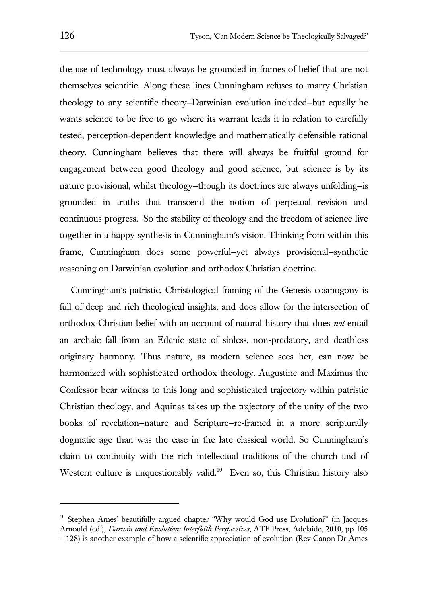the use of technology must always be grounded in frames of belief that are not themselves scientific. Along these lines Cunningham refuses to marry Christian theology to any scientific theory—Darwinian evolution included—but equally he wants science to be free to go where its warrant leads it in relation to carefully tested, perception-dependent knowledge and mathematically defensible rational theory. Cunningham believes that there will always be fruitful ground for engagement between good theology and good science, but science is by its nature provisional, whilst theology—though its doctrines are always unfolding—is grounded in truths that transcend the notion of perpetual revision and continuous progress. So the stability of theology and the freedom of science live together in a happy synthesis in Cunningham's vision. Thinking from within this frame, Cunningham does some powerful—yet always provisional—synthetic reasoning on Darwinian evolution and orthodox Christian doctrine.

Cunningham's patristic, Christological framing of the Genesis cosmogony is full of deep and rich theological insights, and does allow for the intersection of orthodox Christian belief with an account of natural history that does *not* entail an archaic fall from an Edenic state of sinless, non-predatory, and deathless originary harmony. Thus nature, as modern science sees her, can now be harmonized with sophisticated orthodox theology. Augustine and Maximus the Confessor bear witness to this long and sophisticated trajectory within patristic Christian theology, and Aquinas takes up the trajectory of the unity of the two books of revelation—nature and Scripture—re-framed in a more scripturally dogmatic age than was the case in the late classical world. So Cunningham's claim to continuity with the rich intellectual traditions of the church and of Western culture is unquestionably valid.<sup>10</sup> Even so, this Christian history also

<sup>&</sup>lt;sup>10</sup> Stephen Ames' beautifully argued chapter "Why would God use Evolution?" (in Jacques Arnould (ed.), *Darwin and Evolution: Interfaith Perspectives*, ATF Press, Adelaide, 2010, pp 105 – 128) is another example of how a scientific appreciation of evolution (Rev Canon Dr Ames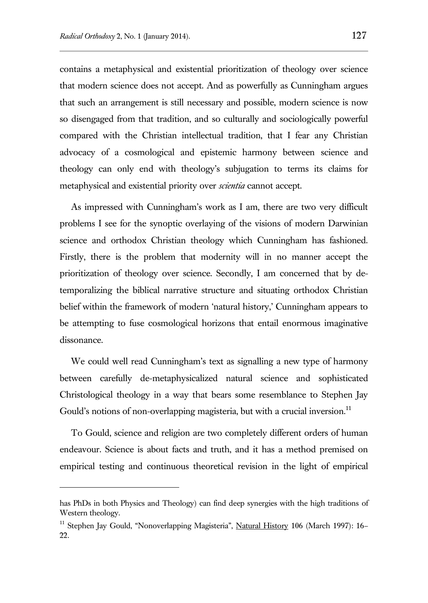contains a metaphysical and existential prioritization of theology over science that modern science does not accept. And as powerfully as Cunningham argues that such an arrangement is still necessary and possible, modern science is now so disengaged from that tradition, and so culturally and sociologically powerful compared with the Christian intellectual tradition, that I fear any Christian advocacy of a cosmological and epistemic harmony between science and theology can only end with theology's subjugation to terms its claims for metaphysical and existential priority over *scientia* cannot accept.

As impressed with Cunningham's work as I am, there are two very difficult problems I see for the synoptic overlaying of the visions of modern Darwinian science and orthodox Christian theology which Cunningham has fashioned. Firstly, there is the problem that modernity will in no manner accept the prioritization of theology over science. Secondly, I am concerned that by detemporalizing the biblical narrative structure and situating orthodox Christian belief within the framework of modern 'natural history,' Cunningham appears to be attempting to fuse cosmological horizons that entail enormous imaginative dissonance.

We could well read Cunningham's text as signalling a new type of harmony between carefully de-metaphysicalized natural science and sophisticated Christological theology in a way that bears some resemblance to Stephen Jay Gould's notions of non-overlapping magisteria, but with a crucial inversion.<sup>11</sup>

To Gould, science and religion are two completely different orders of human endeavour. Science is about facts and truth, and it has a method premised on empirical testing and continuous theoretical revision in the light of empirical

has PhDs in both Physics and Theology) can find deep synergies with the high traditions of Western theology.

<sup>&</sup>lt;sup>11</sup> Stephen Jay Gould, "Nonoverlapping Magisteria", Natural History 106 (March 1997): 16-22.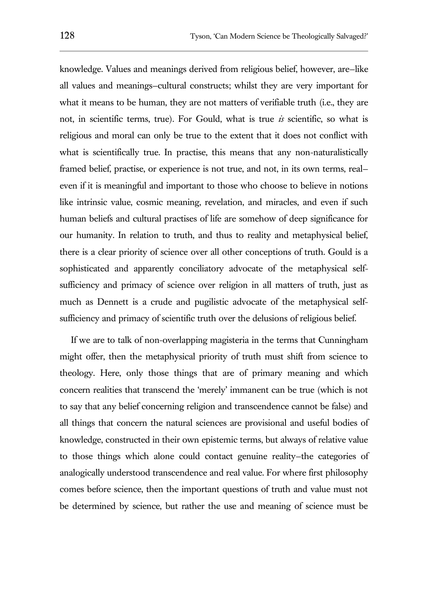knowledge. Values and meanings derived from religious belief, however, are—like all values and meanings—cultural constructs; whilst they are very important for what it means to be human, they are not matters of verifiable truth (i.e., they are not, in scientific terms, true). For Gould, what is true *is* scientific, so what is religious and moral can only be true to the extent that it does not conflict with what is scientifically true. In practise, this means that any non-naturalistically framed belief, practise, or experience is not true, and not, in its own terms, real even if it is meaningful and important to those who choose to believe in notions like intrinsic value, cosmic meaning, revelation, and miracles, and even if such human beliefs and cultural practises of life are somehow of deep significance for our humanity. In relation to truth, and thus to reality and metaphysical belief, there is a clear priority of science over all other conceptions of truth. Gould is a sophisticated and apparently conciliatory advocate of the metaphysical selfsufficiency and primacy of science over religion in all matters of truth, just as much as Dennett is a crude and pugilistic advocate of the metaphysical selfsufficiency and primacy of scientific truth over the delusions of religious belief.

If we are to talk of non-overlapping magisteria in the terms that Cunningham might offer, then the metaphysical priority of truth must shift from science to theology. Here, only those things that are of primary meaning and which concern realities that transcend the 'merely' immanent can be true (which is not to say that any belief concerning religion and transcendence cannot be false) and all things that concern the natural sciences are provisional and useful bodies of knowledge, constructed in their own epistemic terms, but always of relative value to those things which alone could contact genuine reality—the categories of analogically understood transcendence and real value. For where first philosophy comes before science, then the important questions of truth and value must not be determined by science, but rather the use and meaning of science must be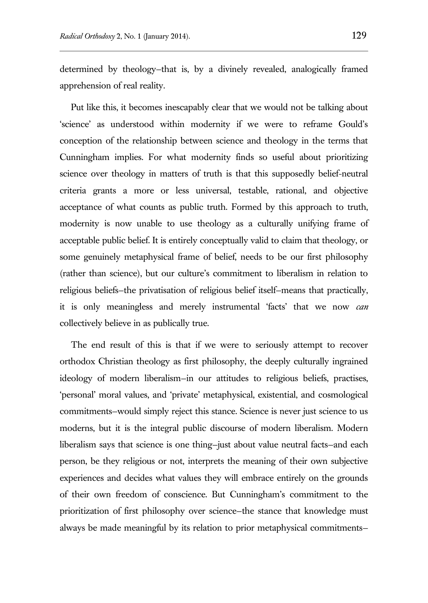determined by theology—that is, by a divinely revealed, analogically framed apprehension of real reality.

Put like this, it becomes inescapably clear that we would not be talking about 'science' as understood within modernity if we were to reframe Gould's conception of the relationship between science and theology in the terms that Cunningham implies. For what modernity finds so useful about prioritizing science over theology in matters of truth is that this supposedly belief-neutral criteria grants a more or less universal, testable, rational, and objective acceptance of what counts as public truth. Formed by this approach to truth, modernity is now unable to use theology as a culturally unifying frame of acceptable public belief. It is entirely conceptually valid to claim that theology, or some genuinely metaphysical frame of belief, needs to be our first philosophy (rather than science), but our culture's commitment to liberalism in relation to religious beliefs—the privatisation of religious belief itself—means that practically, it is only meaningless and merely instrumental 'facts' that we now *can* collectively believe in as publically true.

The end result of this is that if we were to seriously attempt to recover orthodox Christian theology as first philosophy, the deeply culturally ingrained ideology of modern liberalism—in our attitudes to religious beliefs, practises, 'personal' moral values, and 'private' metaphysical, existential, and cosmological commitments—would simply reject this stance. Science is never just science to us moderns, but it is the integral public discourse of modern liberalism. Modern liberalism says that science is one thing—just about value neutral facts—and each person, be they religious or not, interprets the meaning of their own subjective experiences and decides what values they will embrace entirely on the grounds of their own freedom of conscience. But Cunningham's commitment to the prioritization of first philosophy over science—the stance that knowledge must always be made meaningful by its relation to prior metaphysical commitments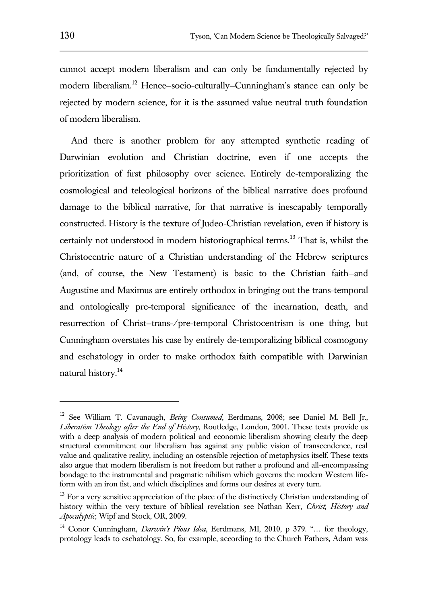cannot accept modern liberalism and can only be fundamentally rejected by modern liberalism.<sup>12</sup> Hence–socio-culturally–Cunningham's stance can only be rejected by modern science, for it is the assumed value neutral truth foundation of modern liberalism.

And there is another problem for any attempted synthetic reading of Darwinian evolution and Christian doctrine, even if one accepts the prioritization of first philosophy over science. Entirely de-temporalizing the cosmological and teleological horizons of the biblical narrative does profound damage to the biblical narrative, for that narrative is inescapably temporally constructed. History is the texture of Judeo-Christian revelation, even if history is certainly not understood in modern historiographical terms.<sup>13</sup> That is, whilst the Christocentric nature of a Christian understanding of the Hebrew scriptures (and, of course, the New Testament) is basic to the Christian faith—and Augustine and Maximus are entirely orthodox in bringing out the trans-temporal and ontologically pre-temporal significance of the incarnation, death, and resurrection of Christ—trans-/pre-temporal Christocentrism is one thing, but Cunningham overstates his case by entirely de-temporalizing biblical cosmogony and eschatology in order to make orthodox faith compatible with Darwinian natural history.<sup>14</sup>

<sup>12</sup> See William T. Cavanaugh, *Being Consumed*, Eerdmans, 2008; see Daniel M. Bell Jr., *Liberation Theology after the End of History*, Routledge, London, 2001. These texts provide us with a deep analysis of modern political and economic liberalism showing clearly the deep structural commitment our liberalism has against any public vision of transcendence, real value and qualitative reality, including an ostensible rejection of metaphysics itself. These texts also argue that modern liberalism is not freedom but rather a profound and all-encompassing bondage to the instrumental and pragmatic nihilism which governs the modern Western lifeform with an iron fist, and which disciplines and forms our desires at every turn.

<sup>&</sup>lt;sup>13</sup> For a very sensitive appreciation of the place of the distinctively Christian understanding of history within the very texture of biblical revelation see Nathan Kerr, *Christ, History and Apocalyptic*, Wipf and Stock, OR, 2009.

<sup>14</sup> Conor Cunningham, *Darwin's Pious Idea*, Eerdmans, MI, 2010, p 379. "… for theology, protology leads to eschatology. So, for example, according to the Church Fathers, Adam was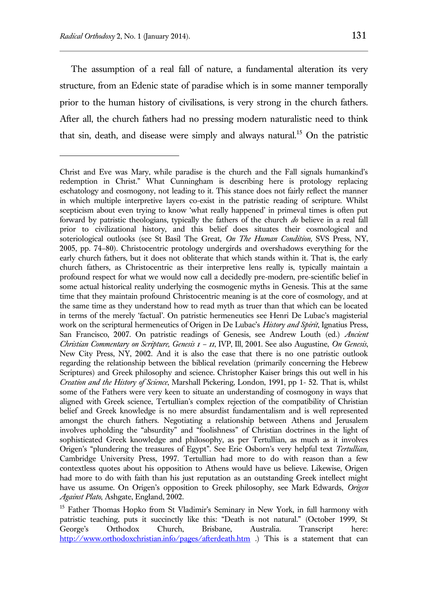The assumption of a real fall of nature, a fundamental alteration its very structure, from an Edenic state of paradise which is in some manner temporally prior to the human history of civilisations, is very strong in the church fathers. After all, the church fathers had no pressing modern naturalistic need to think that sin, death, and disease were simply and always natural.<sup>15</sup> On the patristic

Christ and Eve was Mary, while paradise is the church and the Fall signals humankind's redemption in Christ." What Cunningham is describing here is protology replacing eschatology and cosmogony, not leading to it. This stance does not fairly reflect the manner in which multiple interpretive layers co-exist in the patristic reading of scripture. Whilst scepticism about even trying to know 'what really happened' in primeval times is often put forward by patristic theologians, typically the fathers of the church *do* believe in a real fall prior to civilizational history, and this belief does situates their cosmological and soteriological outlooks (see St Basil The Great, *On The Human Condition*, SVS Press, NY, 2005, pp. 74–80). Christocentric protology undergirds and overshadows everything for the early church fathers, but it does not obliterate that which stands within it. That is, the early church fathers, as Christocentric as their interpretive lens really is, typically maintain a profound respect for what we would now call a decidedly pre-modern, pre-scientific belief in some actual historical reality underlying the cosmogenic myths in Genesis. This at the same time that they maintain profound Christocentric meaning is at the core of cosmology, and at the same time as they understand how to read myth as truer than that which can be located in terms of the merely 'factual'. On patristic hermeneutics see Henri De Lubac's magisterial work on the scriptural hermeneutics of Origen in De Lubac's *History and Spirit*, Ignatius Press, San Francisco, 2007. On patristic readings of Genesis, see Andrew Louth (ed.) *Ancient Christian Commentary on Scripture, Genesis 1 – 11*, IVP, Ill, 2001. See also Augustine, *On Genesis*, New City Press, NY, 2002. And it is also the case that there is no one patristic outlook regarding the relationship between the biblical revelation (primarily concerning the Hebrew Scriptures) and Greek philosophy and science. Christopher Kaiser brings this out well in his *Creation and the History of Science*, Marshall Pickering, London, 1991, pp 1- 52. That is, whilst some of the Fathers were very keen to situate an understanding of cosmogony in ways that aligned with Greek science, Tertullian's complex rejection of the compatibility of Christian belief and Greek knowledge is no mere absurdist fundamentalism and is well represented amongst the church fathers. Negotiating a relationship between Athens and Jerusalem involves upholding the "absurdity" and "foolishness" of Christian doctrines in the light of sophisticated Greek knowledge and philosophy, as per Tertullian, as much as it involves Origen's "plundering the treasures of Egypt". See Eric Osborn's very helpful text *Tertullian*, Cambridge University Press, 1997. Tertullian had more to do with reason than a few contextless quotes about his opposition to Athens would have us believe. Likewise, Origen had more to do with faith than his just reputation as an outstanding Greek intellect might have us assume. On Origen's opposition to Greek philosophy, see Mark Edwards, *Origen Against Plato*, Ashgate, England, 2002.

<sup>&</sup>lt;sup>15</sup> Father Thomas Hopko from St Vladimir's Seminary in New York, in full harmony with patristic teaching, puts it succinctly like this: "Death is not natural." (October 1999, St George's Orthodox Church, Brisbane, Australia. Transcript here: <http://www.orthodoxchristian.info/pages/afterdeath.htm> .) This is a statement that can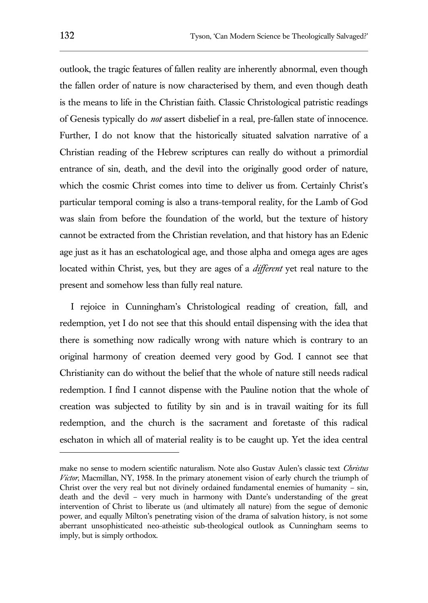outlook, the tragic features of fallen reality are inherently abnormal, even though the fallen order of nature is now characterised by them, and even though death is the means to life in the Christian faith. Classic Christological patristic readings of Genesis typically do *not* assert disbelief in a real, pre-fallen state of innocence. Further, I do not know that the historically situated salvation narrative of a Christian reading of the Hebrew scriptures can really do without a primordial entrance of sin, death, and the devil into the originally good order of nature, which the cosmic Christ comes into time to deliver us from. Certainly Christ's particular temporal coming is also a trans-temporal reality, for the Lamb of God was slain from before the foundation of the world, but the texture of history cannot be extracted from the Christian revelation, and that history has an Edenic age just as it has an eschatological age, and those alpha and omega ages are ages located within Christ, yes, but they are ages of a *different* yet real nature to the present and somehow less than fully real nature.

I rejoice in Cunningham's Christological reading of creation, fall, and redemption, yet I do not see that this should entail dispensing with the idea that there is something now radically wrong with nature which is contrary to an original harmony of creation deemed very good by God. I cannot see that Christianity can do without the belief that the whole of nature still needs radical redemption. I find I cannot dispense with the Pauline notion that the whole of creation was subjected to futility by sin and is in travail waiting for its full redemption, and the church is the sacrament and foretaste of this radical eschaton in which all of material reality is to be caught up. Yet the idea central

l

make no sense to modern scientific naturalism. Note also Gustav Aulen's classic text *Christus Victor*, Macmillan, NY, 1958. In the primary atonement vision of early church the triumph of Christ over the very real but not divinely ordained fundamental enemies of humanity – sin, death and the devil – very much in harmony with Dante's understanding of the great intervention of Christ to liberate us (and ultimately all nature) from the segue of demonic power, and equally Milton's penetrating vision of the drama of salvation history, is not some aberrant unsophisticated neo-atheistic sub-theological outlook as Cunningham seems to imply, but is simply orthodox.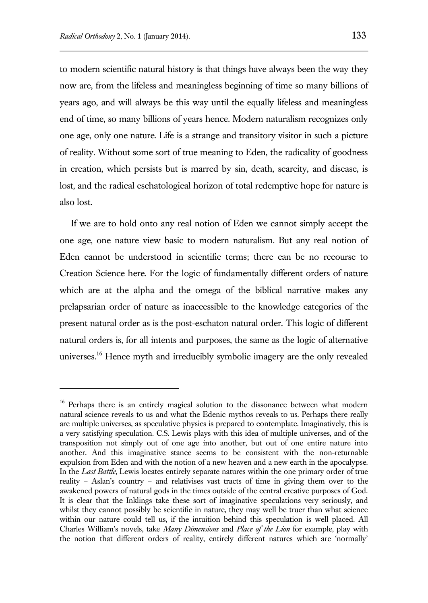to modern scientific natural history is that things have always been the way they now are, from the lifeless and meaningless beginning of time so many billions of years ago, and will always be this way until the equally lifeless and meaningless end of time, so many billions of years hence. Modern naturalism recognizes only one age, only one nature. Life is a strange and transitory visitor in such a picture of reality. Without some sort of true meaning to Eden, the radicality of goodness in creation, which persists but is marred by sin, death, scarcity, and disease, is lost, and the radical eschatological horizon of total redemptive hope for nature is also lost.

If we are to hold onto any real notion of Eden we cannot simply accept the one age, one nature view basic to modern naturalism. But any real notion of Eden cannot be understood in scientific terms; there can be no recourse to Creation Science here. For the logic of fundamentally different orders of nature which are at the alpha and the omega of the biblical narrative makes any prelapsarian order of nature as inaccessible to the knowledge categories of the present natural order as is the post-eschaton natural order. This logic of different natural orders is, for all intents and purposes, the same as the logic of alternative universes.<sup>16</sup> Hence myth and irreducibly symbolic imagery are the only revealed

<sup>&</sup>lt;sup>16</sup> Perhaps there is an entirely magical solution to the dissonance between what modern natural science reveals to us and what the Edenic mythos reveals to us. Perhaps there really are multiple universes, as speculative physics is prepared to contemplate. Imaginatively, this is a very satisfying speculation. C.S. Lewis plays with this idea of multiple universes, and of the transposition not simply out of one age into another, but out of one entire nature into another. And this imaginative stance seems to be consistent with the non-returnable expulsion from Eden and with the notion of a new heaven and a new earth in the apocalypse. In the *Last Battle*, Lewis locates entirely separate natures within the one primary order of true reality – Aslan's country – and relativises vast tracts of time in giving them over to the awakened powers of natural gods in the times outside of the central creative purposes of God. It is clear that the Inklings take these sort of imaginative speculations very seriously, and whilst they cannot possibly be scientific in nature, they may well be truer than what science within our nature could tell us, if the intuition behind this speculation is well placed. All Charles William's novels, take *Many Dimensions* and *Place of the Lion* for example, play with the notion that different orders of reality, entirely different natures which are 'normally'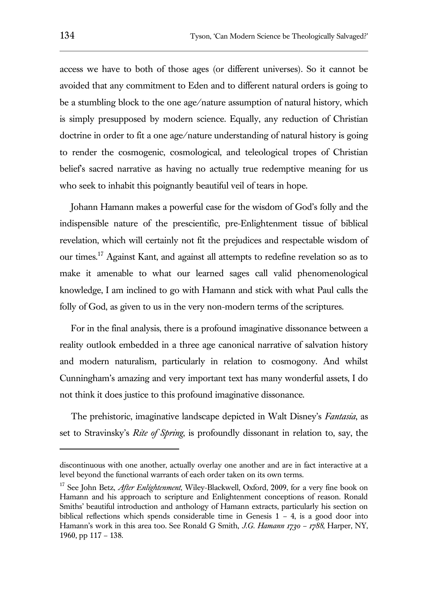access we have to both of those ages (or different universes). So it cannot be avoided that any commitment to Eden and to different natural orders is going to be a stumbling block to the one age/nature assumption of natural history, which is simply presupposed by modern science. Equally, any reduction of Christian doctrine in order to fit a one age/nature understanding of natural history is going to render the cosmogenic, cosmological, and teleological tropes of Christian belief's sacred narrative as having no actually true redemptive meaning for us who seek to inhabit this poignantly beautiful veil of tears in hope.

Johann Hamann makes a powerful case for the wisdom of God's folly and the indispensible nature of the prescientific, pre-Enlightenment tissue of biblical revelation, which will certainly not fit the prejudices and respectable wisdom of our times.<sup>17</sup> Against Kant, and against all attempts to redefine revelation so as to make it amenable to what our learned sages call valid phenomenological knowledge, I am inclined to go with Hamann and stick with what Paul calls the folly of God, as given to us in the very non-modern terms of the scriptures.

For in the final analysis, there is a profound imaginative dissonance between a reality outlook embedded in a three age canonical narrative of salvation history and modern naturalism, particularly in relation to cosmogony. And whilst Cunningham's amazing and very important text has many wonderful assets, I do not think it does justice to this profound imaginative dissonance.

The prehistoric, imaginative landscape depicted in Walt Disney's *Fantasia*, as set to Stravinsky's *Rite of Spring*, is profoundly dissonant in relation to, say, the

discontinuous with one another, actually overlay one another and are in fact interactive at a level beyond the functional warrants of each order taken on its own terms.

<sup>&</sup>lt;sup>17</sup> See John Betz, *After Enlightenment*, Wiley-Blackwell, Oxford, 2009, for a very fine book on Hamann and his approach to scripture and Enlightenment conceptions of reason. Ronald Smiths' beautiful introduction and anthology of Hamann extracts, particularly his section on biblical reflections which spends considerable time in Genesis  $1 - 4$ , is a good door into Hamann's work in this area too. See Ronald G Smith, *J.G. Hamann 1730 – 1788*, Harper, NY, 1960, pp 117 – 138.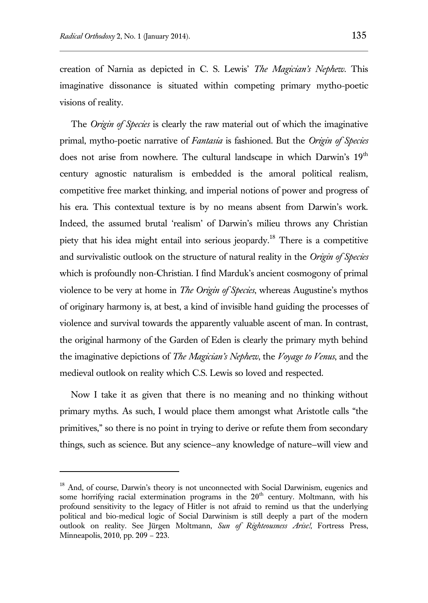creation of Narnia as depicted in C. S. Lewis' *The Magician's Nephew*. This imaginative dissonance is situated within competing primary mytho-poetic visions of reality.

The *Origin of Species* is clearly the raw material out of which the imaginative primal, mytho-poetic narrative of *Fantasia* is fashioned. But the *Origin of Species* does not arise from nowhere. The cultural landscape in which Darwin's 19<sup>th</sup> century agnostic naturalism is embedded is the amoral political realism, competitive free market thinking, and imperial notions of power and progress of his era. This contextual texture is by no means absent from Darwin's work. Indeed, the assumed brutal 'realism' of Darwin's milieu throws any Christian piety that his idea might entail into serious jeopardy.<sup>18</sup> There is a competitive and survivalistic outlook on the structure of natural reality in the *Origin of Species* which is profoundly non-Christian. I find Marduk's ancient cosmogony of primal violence to be very at home in *The Origin of Species*, whereas Augustine's mythos of originary harmony is, at best, a kind of invisible hand guiding the processes of violence and survival towards the apparently valuable ascent of man. In contrast, the original harmony of the Garden of Eden is clearly the primary myth behind the imaginative depictions of *The Magician's Nephew*, the *Voyage to Venus*, and the medieval outlook on reality which C.S. Lewis so loved and respected.

Now I take it as given that there is no meaning and no thinking without primary myths. As such, I would place them amongst what Aristotle calls "the primitives," so there is no point in trying to derive or refute them from secondary things, such as science. But any science—any knowledge of nature—will view and

<sup>&</sup>lt;sup>18</sup> And, of course, Darwin's theory is not unconnected with Social Darwinism, eugenics and some horrifying racial extermination programs in the  $20<sup>th</sup>$  century. Moltmann, with his profound sensitivity to the legacy of Hitler is not afraid to remind us that the underlying political and bio-medical logic of Social Darwinism is still deeply a part of the modern outlook on reality. See Jürgen Moltmann, *Sun of Righteousness Arise!*, Fortress Press, Minneapolis, 2010, pp. 209 – 223.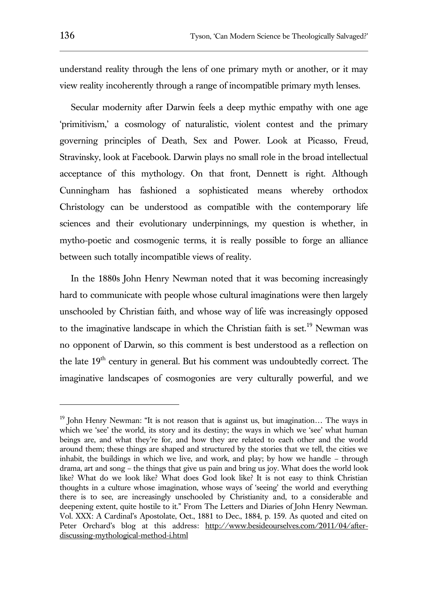understand reality through the lens of one primary myth or another, or it may view reality incoherently through a range of incompatible primary myth lenses.

Secular modernity after Darwin feels a deep mythic empathy with one age 'primitivism,' a cosmology of naturalistic, violent contest and the primary governing principles of Death, Sex and Power. Look at Picasso, Freud, Stravinsky, look at Facebook. Darwin plays no small role in the broad intellectual acceptance of this mythology. On that front, Dennett is right. Although Cunningham has fashioned a sophisticated means whereby orthodox Christology can be understood as compatible with the contemporary life sciences and their evolutionary underpinnings, my question is whether, in mytho-poetic and cosmogenic terms, it is really possible to forge an alliance between such totally incompatible views of reality.

In the 1880s John Henry Newman noted that it was becoming increasingly hard to communicate with people whose cultural imaginations were then largely unschooled by Christian faith, and whose way of life was increasingly opposed to the imaginative landscape in which the Christian faith is set.<sup>19</sup> Newman was no opponent of Darwin, so this comment is best understood as a reflection on the late  $19<sup>th</sup>$  century in general. But his comment was undoubtedly correct. The imaginative landscapes of cosmogonies are very culturally powerful, and we

l

 $19$  John Henry Newman: "It is not reason that is against us, but imagination... The ways in which we 'see' the world, its story and its destiny; the ways in which we 'see' what human beings are, and what they're for, and how they are related to each other and the world around them; these things are shaped and structured by the stories that we tell, the cities we inhabit, the buildings in which we live, and work, and play; by how we handle – through drama, art and song – the things that give us pain and bring us joy. What does the world look like? What do we look like? What does God look like? It is not easy to think Christian thoughts in a culture whose imagination, whose ways of 'seeing' the world and everything there is to see, are increasingly unschooled by Christianity and, to a considerable and deepening extent, quite hostile to it." From The Letters and Diaries of John Henry Newman. Vol. XXX: A Cardinal's Apostolate, Oct., 1881 to Dec., 1884, p. 159. As quoted and cited on Peter Orchard's blog at this address: [http://www.besideourselves.com/2011/04/after](http://www.besideourselves.com/2011/04/after-discussing-mythological-method-i.html)[discussing-mythological-method-i.html](http://www.besideourselves.com/2011/04/after-discussing-mythological-method-i.html)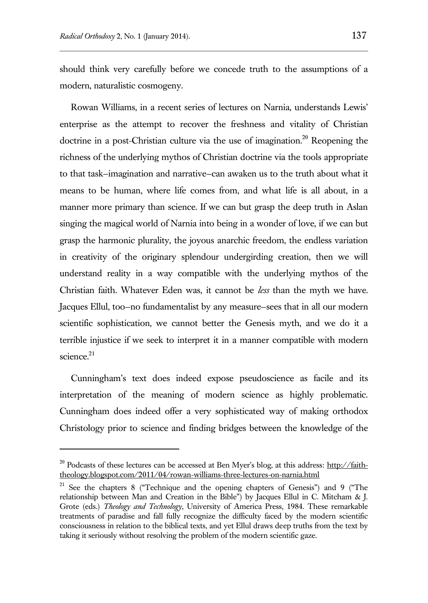should think very carefully before we concede truth to the assumptions of a modern, naturalistic cosmogeny.

Rowan Williams, in a recent series of lectures on Narnia, understands Lewis' enterprise as the attempt to recover the freshness and vitality of Christian doctrine in a post-Christian culture via the use of imagination.<sup>20</sup> Reopening the richness of the underlying mythos of Christian doctrine via the tools appropriate to that task—imagination and narrative—can awaken us to the truth about what it means to be human, where life comes from, and what life is all about, in a manner more primary than science. If we can but grasp the deep truth in Aslan singing the magical world of Narnia into being in a wonder of love, if we can but grasp the harmonic plurality, the joyous anarchic freedom, the endless variation in creativity of the originary splendour undergirding creation, then we will understand reality in a way compatible with the underlying mythos of the Christian faith. Whatever Eden was, it cannot be *less* than the myth we have. Jacques Ellul, too—no fundamentalist by any measure—sees that in all our modern scientific sophistication, we cannot better the Genesis myth, and we do it a terrible injustice if we seek to interpret it in a manner compatible with modern science.<sup>21</sup>

Cunningham's text does indeed expose pseudoscience as facile and its interpretation of the meaning of modern science as highly problematic. Cunningham does indeed offer a very sophisticated way of making orthodox Christology prior to science and finding bridges between the knowledge of the

<sup>&</sup>lt;sup>20</sup> Podcasts of these lectures can be accessed at Ben Myer's blog, at this address: http://faiththeology.blogspot.com/2011/04/rowan-williams-three-lectures-on-narnia.html

<sup>21</sup> See the chapters 8 ("Technique and the opening chapters of Genesis") and 9 ("The relationship between Man and Creation in the Bible") by Jacques Ellul in C. Mitcham & J. Grote (eds.) *Theology and Technology*, University of America Press, 1984. These remarkable treatments of paradise and fall fully recognize the difficulty faced by the modern scientific consciousness in relation to the biblical texts, and yet Ellul draws deep truths from the text by taking it seriously without resolving the problem of the modern scientific gaze.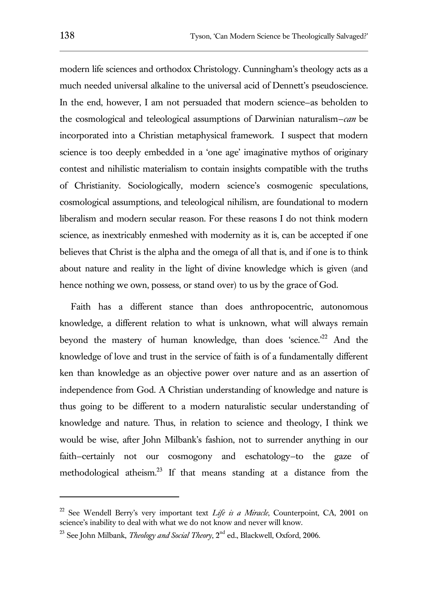modern life sciences and orthodox Christology. Cunningham's theology acts as a much needed universal alkaline to the universal acid of Dennett's pseudoscience. In the end, however, I am not persuaded that modern science—as beholden to the cosmological and teleological assumptions of Darwinian naturalism—*can* be incorporated into a Christian metaphysical framework. I suspect that modern science is too deeply embedded in a 'one age' imaginative mythos of originary contest and nihilistic materialism to contain insights compatible with the truths of Christianity. Sociologically, modern science's cosmogenic speculations, cosmological assumptions, and teleological nihilism, are foundational to modern liberalism and modern secular reason. For these reasons I do not think modern science, as inextricably enmeshed with modernity as it is, can be accepted if one believes that Christ is the alpha and the omega of all that is, and if one is to think about nature and reality in the light of divine knowledge which is given (and hence nothing we own, possess, or stand over) to us by the grace of God.

Faith has a different stance than does anthropocentric, autonomous knowledge, a different relation to what is unknown, what will always remain beyond the mastery of human knowledge, than does 'science.<sup>22</sup> And the knowledge of love and trust in the service of faith is of a fundamentally different ken than knowledge as an objective power over nature and as an assertion of independence from God. A Christian understanding of knowledge and nature is thus going to be different to a modern naturalistic secular understanding of knowledge and nature. Thus, in relation to science and theology, I think we would be wise, after John Milbank's fashion, not to surrender anything in our faith—certainly not our cosmogony and eschatology—to the gaze of methodological atheism.<sup>23</sup> If that means standing at a distance from the

<sup>22</sup> See Wendell Berry's very important text *Life is a Miracle*, Counterpoint, CA, 2001 on science's inability to deal with what we do not know and never will know.

<sup>&</sup>lt;sup>23</sup> See John Milbank, *Theology and Social Theory*, 2<sup>nd</sup> ed., Blackwell, Oxford, 2006.